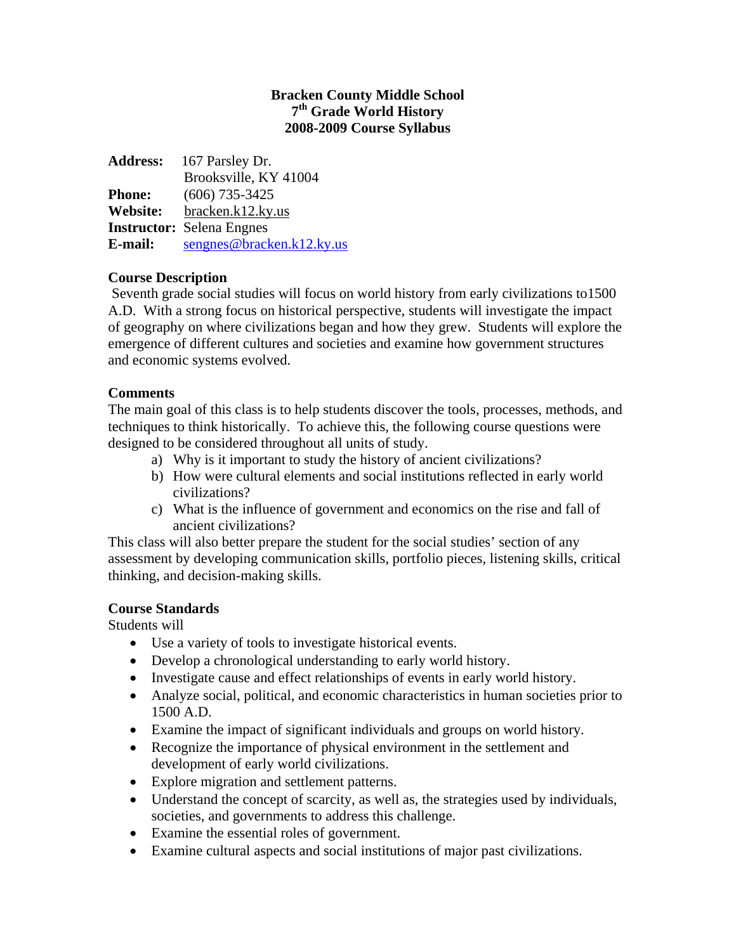## **Bracken County Middle School 7th Grade World History 2008-2009 Course Syllabus**

| <b>Address:</b> | 167 Parsley Dr.                  |
|-----------------|----------------------------------|
|                 | Brooksville, KY 41004            |
| <b>Phone:</b>   | $(606)$ 735-3425                 |
| Website:        | bracken.k12.ky.us                |
|                 | <b>Instructor:</b> Selena Engnes |
| E-mail:         | $s$ engnes@bracken.k12.ky.us     |

# **Course Description**

 Seventh grade social studies will focus on world history from early civilizations to1500 A.D. With a strong focus on historical perspective, students will investigate the impact of geography on where civilizations began and how they grew. Students will explore the emergence of different cultures and societies and examine how government structures and economic systems evolved.

# **Comments**

The main goal of this class is to help students discover the tools, processes, methods, and techniques to think historically. To achieve this, the following course questions were designed to be considered throughout all units of study.

- a) Why is it important to study the history of ancient civilizations?
- b) How were cultural elements and social institutions reflected in early world civilizations?
- c) What is the influence of government and economics on the rise and fall of ancient civilizations?

This class will also better prepare the student for the social studies' section of any assessment by developing communication skills, portfolio pieces, listening skills, critical thinking, and decision-making skills.

# **Course Standards**

Students will

- Use a variety of tools to investigate historical events.
- Develop a chronological understanding to early world history.
- Investigate cause and effect relationships of events in early world history.
- Analyze social, political, and economic characteristics in human societies prior to 1500 A.D.
- Examine the impact of significant individuals and groups on world history.
- Recognize the importance of physical environment in the settlement and development of early world civilizations.
- Explore migration and settlement patterns.
- Understand the concept of scarcity, as well as, the strategies used by individuals, societies, and governments to address this challenge.
- Examine the essential roles of government.
- Examine cultural aspects and social institutions of major past civilizations.